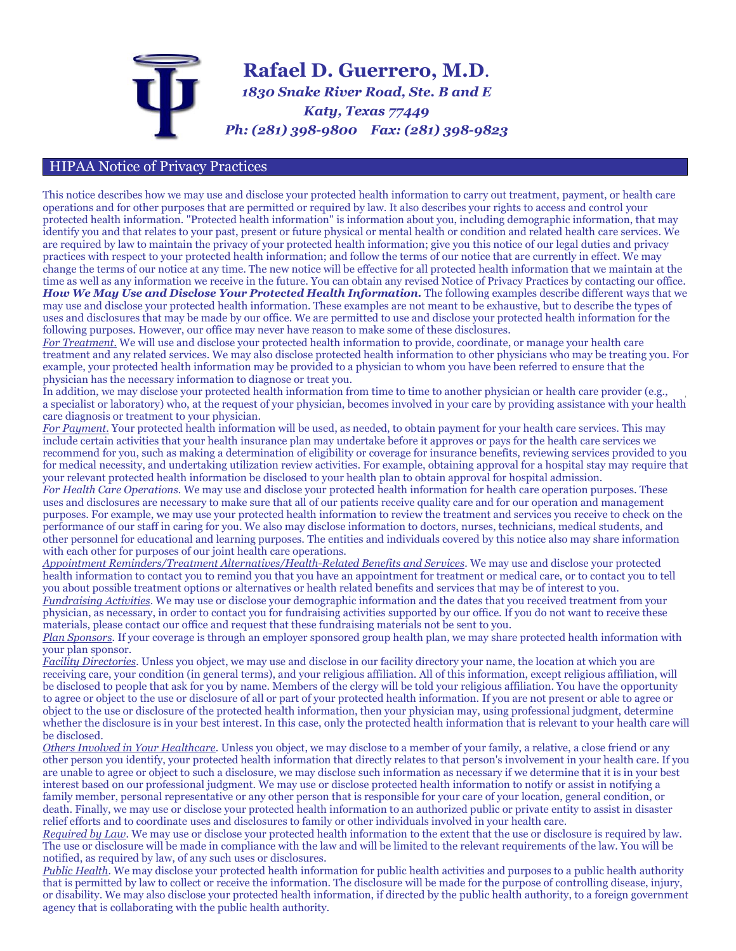

## HIPAA Notice of Privacy Practices

This notice describes how we may use and disclose your protected health information to carry out treatment, payment, or health care operations and for other purposes that are permitted or required by law. It also describes your rights to access and control your protected health information. "Protected health information" is information about you, including demographic information, that may identify you and that relates to your past, present or future physical or mental health or condition and related health care services. We are required by law to maintain the privacy of your protected health information; give you this notice of our legal duties and privacy practices with respect to your protected health information; and follow the terms of our notice that are currently in effect. We may change the terms of our notice at any time. The new notice will be effective for all protected health information that we maintain at the time as well as any information we receive in the future. You can obtain any revised Notice of Privacy Practices by contacting our office. How We May Use and Disclose Your Protected Health Information. The following examples describe different ways that we may use and disclose your protected health information. These examples are not meant to be exhaustive, but to describe the types of uses and disclosures that may be made by our office. We are permitted to use and disclose your protected health information for the following purposes. However, our office may never have reason to make some of these disclosures.

*For Treatment.* We will use and disclose your protected health information to provide, coordinate, or manage your health care treatment and any related services. We may also disclose protected health information to other physicians who may be treating you. For example, your protected health information may be provided to a physician to whom you have been referred to ensure that the physician has the necessary information to diagnose or treat you.

In addition, we may disclose your protected health information from time to time to another physician or health care provider (e.g., a specialist or laboratory) who, at the request of your physician, becomes involved in your care by providing assistance with your health care diagnosis or treatment to your physician.

*For Payment.* Your protected health information will be used, as needed, to obtain payment for your health care services. This may include certain activities that your health insurance plan may undertake before it approves or pays for the health care services we recommend for you, such as making a determination of eligibility or coverage for insurance benefits, reviewing services provided to you for medical necessity, and undertaking utilization review activities. For example, obtaining approval for a hospital stay may require that your relevant protected health information be disclosed to your health plan to obtain approval for hospital admission.

*For Health Care Operations.* We may use and disclose your protected health information for health care operation purposes. These uses and disclosures are necessary to make sure that all of our patients receive quality care and for our operation and management purposes. For example, we may use your protected health information to review the treatment and services you receive to check on the performance of our staff in caring for you. We also may disclose information to doctors, nurses, technicians, medical students, and other personnel for educational and learning purposes. The entities and individuals covered by this notice also may share information with each other for purposes of our joint health care operations.

*Appointment Reminders/Treatment Alternatives/Health-Related Benefits and Services.* We may use and disclose your protected health information to contact you to remind you that you have an appointment for treatment or medical care, or to contact you to tell you about possible treatment options or alternatives or health related benefits and services that may be of interest to you. *Fundraising Activities.* We may use or disclose your demographic information and the dates that you received treatment from your physician, as necessary, in order to contact you for fundraising activities supported by our office. If you do not want to receive these

materials, please contact our office and request that these fundraising materials not be sent to you.

*Plan Sponsors.* If your coverage is through an employer sponsored group health plan, we may share protected health information with your plan sponsor.

*Facility Directories.* Unless you object, we may use and disclose in our facility directory your name, the location at which you are receiving care, your condition (in general terms), and your religious affiliation. All of this information, except religious affiliation, will be disclosed to people that ask for you by name. Members of the clergy will be told your religious affiliation. You have the opportunity to agree or object to the use or disclosure of all or part of your protected health information. If you are not present or able to agree or object to the use or disclosure of the protected health information, then your physician may, using professional judgment, determine whether the disclosure is in your best interest. In this case, only the protected health information that is relevant to your health care will be disclosed.

*Others Involved in Your Healthcare.* Unless you object, we may disclose to a member of your family, a relative, a close friend or any other person you identify, your protected health information that directly relates to that person's involvement in your health care. If you are unable to agree or object to such a disclosure, we may disclose such information as necessary if we determine that it is in your best interest based on our professional judgment. We may use or disclose protected health information to notify or assist in notifying a family member, personal representative or any other person that is responsible for your care of your location, general condition, or death. Finally, we may use or disclose your protected health information to an authorized public or private entity to assist in disaster relief efforts and to coordinate uses and disclosures to family or other individuals involved in your health care.

*Required by Law.* We may use or disclose your protected health information to the extent that the use or disclosure is required by law. The use or disclosure will be made in compliance with the law and will be limited to the relevant requirements of the law. You will be notified, as required by law, of any such uses or disclosures.

*Public Health.* We may disclose your protected health information for public health activities and purposes to a public health authority that is permitted by law to collect or receive the information. The disclosure will be made for the purpose of controlling disease, injury, or disability. We may also disclose your protected health information, if directed by the public health authority, to a foreign government agency that is collaborating with the public health authority.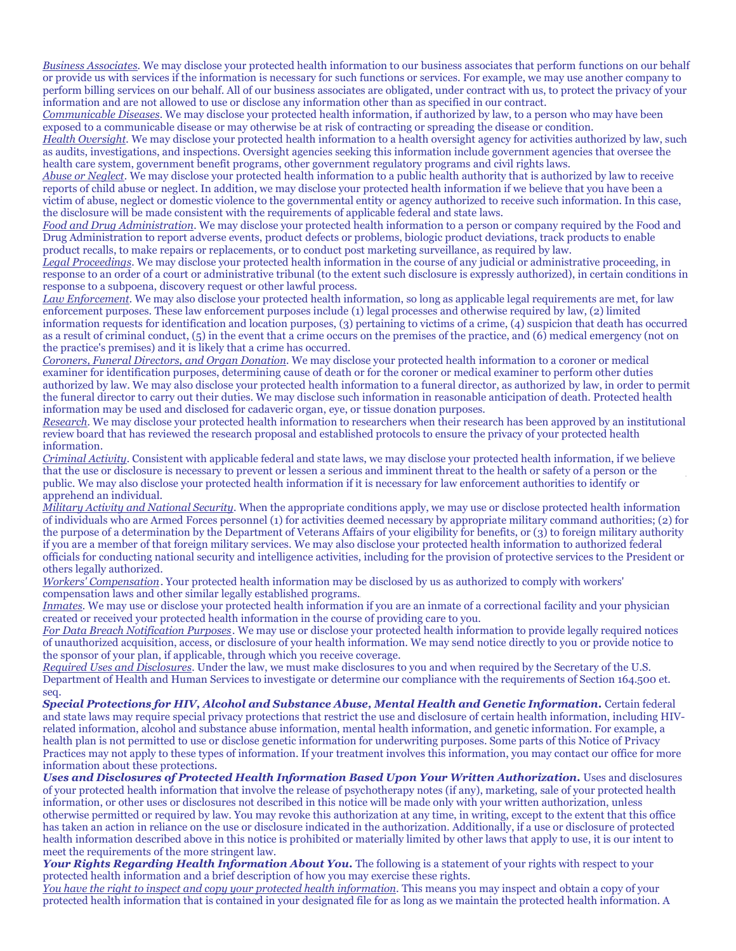*Business Associates.* We may disclose your protected health information to our business associates that perform functions on our behalf or provide us with services if the information is necessary for such functions or services. For example, we may use another company to perform billing services on our behalf. All of our business associates are obligated, under contract with us, to protect the privacy of your information and are not allowed to use or disclose any information other than as specified in our contract.

*Communicable Diseases.* We may disclose your protected health information, if authorized by law, to a person who may have been exposed to a communicable disease or may otherwise be at risk of contracting or spreading the disease or condition.

*Health Oversight.* We may disclose your protected health information to a health oversight agency for activities authorized by law, such as audits, investigations, and inspections. Oversight agencies seeking this information include government agencies that oversee the health care system, government benefit programs, other government regulatory programs and civil rights laws.

*Abuse or Neglect.* We may disclose your protected health information to a public health authority that is authorized by law to receive reports of child abuse or neglect. In addition, we may disclose your protected health information if we believe that you have been a victim of abuse, neglect or domestic violence to the governmental entity or agency authorized to receive such information. In this case, the disclosure will be made consistent with the requirements of applicable federal and state laws.

*Food and Drug Administration.* We may disclose your protected health information to a person or company required by the Food and Drug Administration to report adverse events, product defects or problems, biologic product deviations, track products to enable product recalls, to make repairs or replacements, or to conduct post marketing surveillance, as required by law.

*Legal Proceedings.* We may disclose your protected health information in the course of any judicial or administrative proceeding, in response to an order of a court or administrative tribunal (to the extent such disclosure is expressly authorized), in certain conditions in response to a subpoena, discovery request or other lawful process.

*Law Enforcement.* We may also disclose your protected health information, so long as applicable legal requirements are met, for law enforcement purposes. These law enforcement purposes include (1) legal processes and otherwise required by law, (2) limited information requests for identification and location purposes, (3) pertaining to victims of a crime, (4) suspicion that death has occurred as a result of criminal conduct, (5) in the event that a crime occurs on the premises of the practice, and (6) medical emergency (not on the practice's premises) and it is likely that a crime has occurred.

*Coroners, Funeral Directors, and Organ Donation.* We may disclose your protected health information to a coroner or medical examiner for identification purposes, determining cause of death or for the coroner or medical examiner to perform other duties authorized by law. We may also disclose your protected health information to a funeral director, as authorized by law, in order to permit the funeral director to carry out their duties. We may disclose such information in reasonable anticipation of death. Protected health information may be used and disclosed for cadaveric organ, eye, or tissue donation purposes.

*Research.* We may disclose your protected health information to researchers when their research has been approved by an institutional review board that has reviewed the research proposal and established protocols to ensure the privacy of your protected health information.

*Criminal Activity.* Consistent with applicable federal and state laws, we may disclose your protected health information, if we believe that the use or disclosure is necessary to prevent or lessen a serious and imminent threat to the health or safety of a person or the public. We may also disclose your protected health information if it is necessary for law enforcement authorities to identify or apprehend an individual.

*Military Activity and National Security.* When the appropriate conditions apply, we may use or disclose protected health information of individuals who are Armed Forces personnel (1) for activities deemed necessary by appropriate military command authorities; (2) for the purpose of a determination by the Department of Veterans Affairs of your eligibility for benefits, or (3) to foreign military authority if you are a member of that foreign military services. We may also disclose your protected health information to authorized federal officials for conducting national security and intelligence activities, including for the provision of protective services to the President or others legally authorized.

*Workers' Compensation*. Your protected health information may be disclosed by us as authorized to comply with workers' compensation laws and other similar legally established programs.

*Inmates.* We may use or disclose your protected health information if you are an inmate of a correctional facility and your physician created or received your protected health information in the course of providing care to you.

*For Data Breach Notification Purposes.* We may use or disclose your protected health information to provide legally required notices of unauthorized acquisition, access, or disclosure of your health information. We may send notice directly to you or provide notice to the sponsor of your plan, if applicable, through which you receive coverage.

*Required Uses and Disclosures.* Under the law, we must make disclosures to you and when required by the Secretary of the U.S. Department of Health and Human Services to investigate or determine our compliance with the requirements of Section 164.500 et. seq.

*Special Protections for HIV, Alcohol and Substance Abuse, Mental Health and Genetic Information.* Certain federal and state laws may require special privacy protections that restrict the use and disclosure of certain health information, including HIVrelated information, alcohol and substance abuse information, mental health information, and genetic information. For example, a health plan is not permitted to use or disclose genetic information for underwriting purposes. Some parts of this Notice of Privacy Practices may not apply to these types of information. If your treatment involves this information, you may contact our office for more information about these protections.

*Uses and Disclosures of Protected Health Information Based Upon Your Written Authorization.* Uses and disclosures of your protected health information that involve the release of psychotherapy notes (if any), marketing, sale of your protected health information, or other uses or disclosures not described in this notice will be made only with your written authorization, unless otherwise permitted or required by law. You may revoke this authorization at any time, in writing, except to the extent that this office has taken an action in reliance on the use or disclosure indicated in the authorization. Additionally, if a use or disclosure of protected health information described above in this notice is prohibited or materially limited by other laws that apply to use, it is our intent to meet the requirements of the more stringent law.

Your *Rights Regarding Health Information About You*. The following is a statement of your rights with respect to your protected health information and a brief description of how you may exercise these rights.

*You have the right to inspect and copy your protected health information.* This means you may inspect and obtain a copy of your protected health information that is contained in your designated file for as long as we maintain the protected health information. A